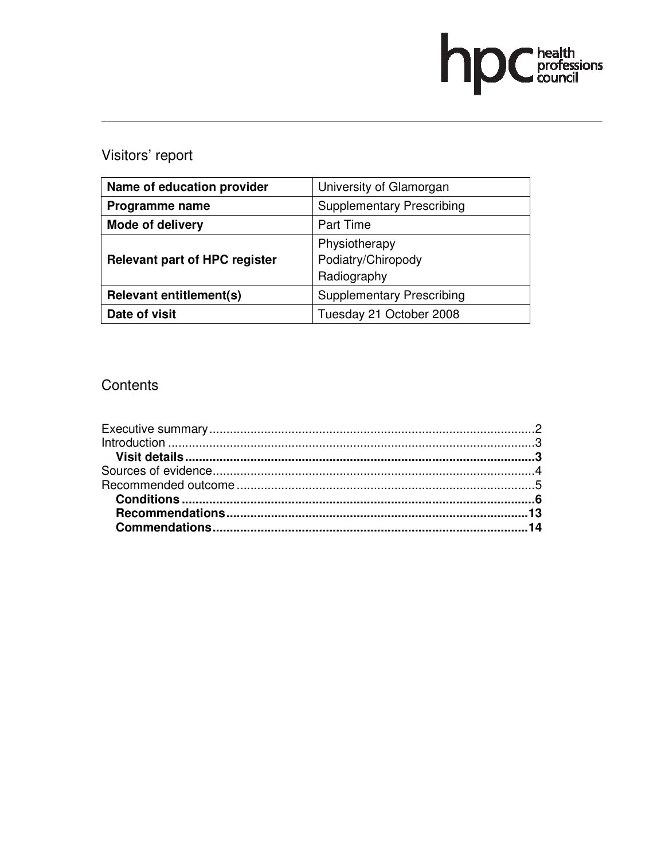

# Visitors' report

| Name of education provider           | University of Glamorgan          |  |
|--------------------------------------|----------------------------------|--|
| Programme name                       | <b>Supplementary Prescribing</b> |  |
| <b>Mode of delivery</b>              | Part Time                        |  |
| <b>Relevant part of HPC register</b> | Physiotherapy                    |  |
|                                      | Podiatry/Chiropody               |  |
|                                      | Radiography                      |  |
| <b>Relevant entitlement(s)</b>       | <b>Supplementary Prescribing</b> |  |
| Date of visit                        | Tuesday 21 October 2008          |  |

## **Contents**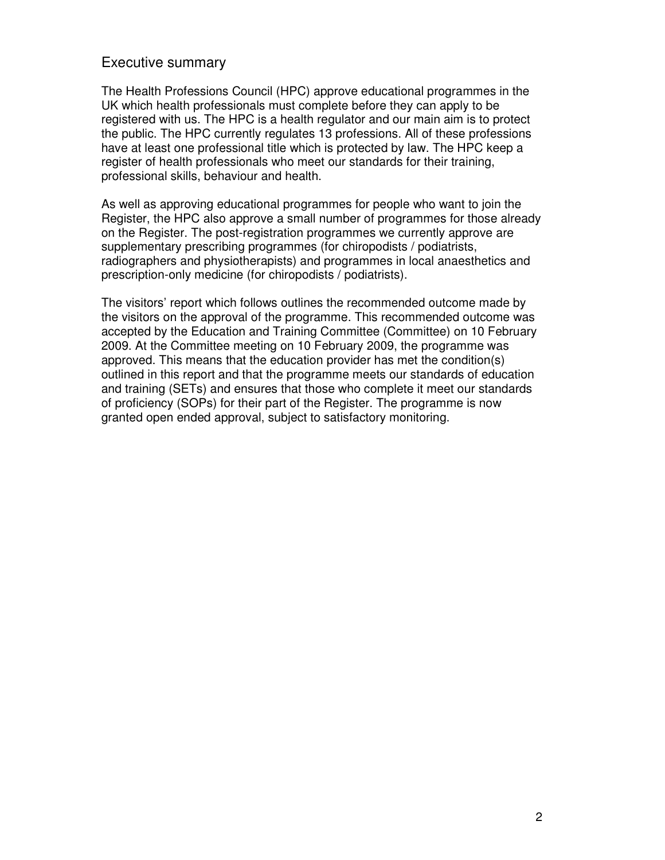## Executive summary

The Health Professions Council (HPC) approve educational programmes in the UK which health professionals must complete before they can apply to be registered with us. The HPC is a health regulator and our main aim is to protect the public. The HPC currently regulates 13 professions. All of these professions have at least one professional title which is protected by law. The HPC keep a register of health professionals who meet our standards for their training, professional skills, behaviour and health.

As well as approving educational programmes for people who want to join the Register, the HPC also approve a small number of programmes for those already on the Register. The post-registration programmes we currently approve are supplementary prescribing programmes (for chiropodists / podiatrists, radiographers and physiotherapists) and programmes in local anaesthetics and prescription-only medicine (for chiropodists / podiatrists).

The visitors' report which follows outlines the recommended outcome made by the visitors on the approval of the programme. This recommended outcome was accepted by the Education and Training Committee (Committee) on 10 February 2009. At the Committee meeting on 10 February 2009, the programme was approved. This means that the education provider has met the condition(s) outlined in this report and that the programme meets our standards of education and training (SETs) and ensures that those who complete it meet our standards of proficiency (SOPs) for their part of the Register. The programme is now granted open ended approval, subject to satisfactory monitoring.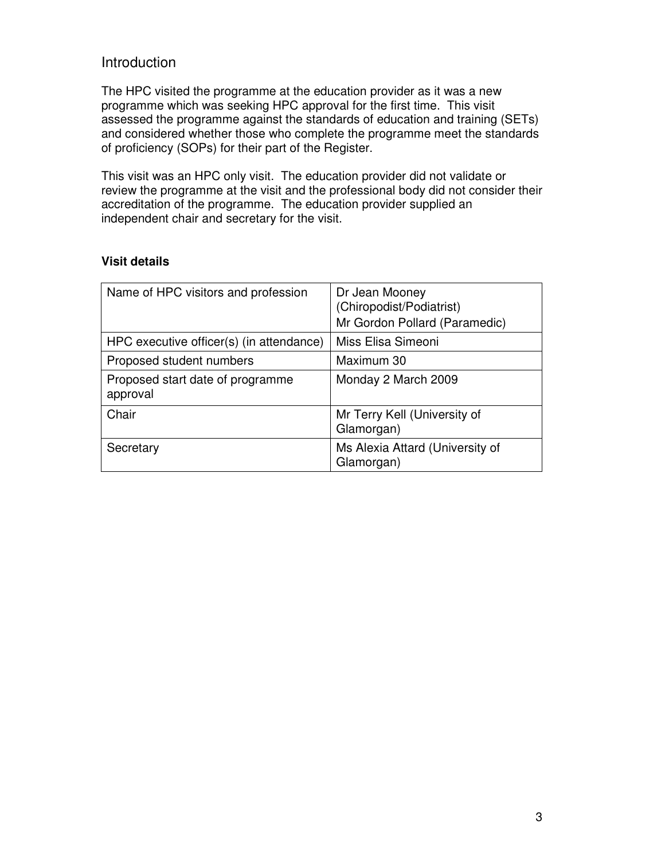## Introduction

The HPC visited the programme at the education provider as it was a new programme which was seeking HPC approval for the first time. This visit assessed the programme against the standards of education and training (SETs) and considered whether those who complete the programme meet the standards of proficiency (SOPs) for their part of the Register.

This visit was an HPC only visit. The education provider did not validate or review the programme at the visit and the professional body did not consider their accreditation of the programme. The education provider supplied an independent chair and secretary for the visit.

## Name of HPC visitors and profession  $|Dr|$  Jean Mooney (Chiropodist/Podiatrist) Mr Gordon Pollard (Paramedic) HPC executive officer(s) (in attendance) | Miss Elisa Simeoni Proposed student numbers Maximum 30 Proposed start date of programme approval Monday 2 March 2009 Chair Mr Terry Kell (University of Glamorgan) Secretary Ms Alexia Attard (University of Glamorgan)

#### **Visit details**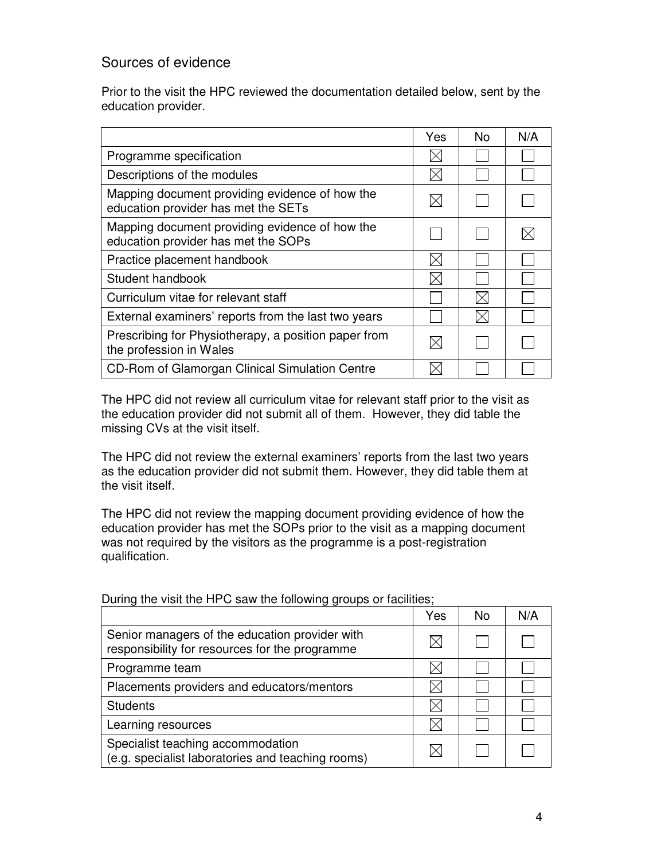## Sources of evidence

Prior to the visit the HPC reviewed the documentation detailed below, sent by the education provider.

|                                                                                       | Yes         | No. | N/A |
|---------------------------------------------------------------------------------------|-------------|-----|-----|
| Programme specification                                                               | IX.         |     |     |
| Descriptions of the modules                                                           |             |     |     |
| Mapping document providing evidence of how the<br>education provider has met the SETs |             |     |     |
| Mapping document providing evidence of how the<br>education provider has met the SOPs |             |     |     |
| Practice placement handbook                                                           | $\boxtimes$ |     |     |
| Student handbook                                                                      |             |     |     |
| Curriculum vitae for relevant staff                                                   |             |     |     |
| External examiners' reports from the last two years                                   |             |     |     |
| Prescribing for Physiotherapy, a position paper from<br>the profession in Wales       |             |     |     |
| CD-Rom of Glamorgan Clinical Simulation Centre                                        |             |     |     |

The HPC did not review all curriculum vitae for relevant staff prior to the visit as the education provider did not submit all of them. However, they did table the missing CVs at the visit itself.

The HPC did not review the external examiners' reports from the last two years as the education provider did not submit them. However, they did table them at the visit itself.

The HPC did not review the mapping document providing evidence of how the education provider has met the SOPs prior to the visit as a mapping document was not required by the visitors as the programme is a post-registration qualification.

|                                                                                                  | Yes | <b>No</b> | N/A |
|--------------------------------------------------------------------------------------------------|-----|-----------|-----|
| Senior managers of the education provider with<br>responsibility for resources for the programme |     |           |     |
| Programme team                                                                                   |     |           |     |
| Placements providers and educators/mentors                                                       |     |           |     |
| <b>Students</b>                                                                                  |     |           |     |
| Learning resources                                                                               |     |           |     |
| Specialist teaching accommodation<br>(e.g. specialist laboratories and teaching rooms)           |     |           |     |

During the visit the HPC saw the following groups or facilities;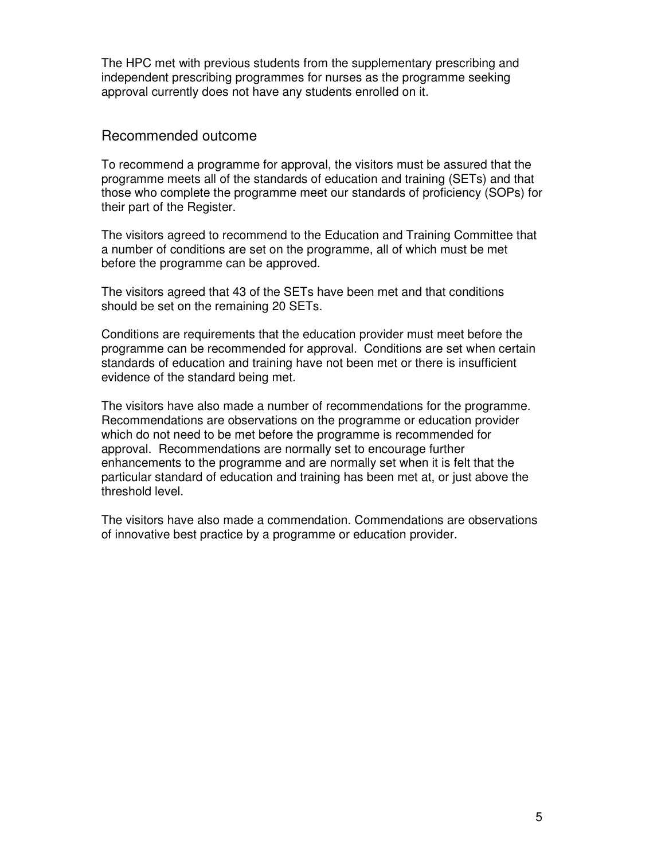The HPC met with previous students from the supplementary prescribing and independent prescribing programmes for nurses as the programme seeking approval currently does not have any students enrolled on it.

#### Recommended outcome

To recommend a programme for approval, the visitors must be assured that the programme meets all of the standards of education and training (SETs) and that those who complete the programme meet our standards of proficiency (SOPs) for their part of the Register.

The visitors agreed to recommend to the Education and Training Committee that a number of conditions are set on the programme, all of which must be met before the programme can be approved.

The visitors agreed that 43 of the SETs have been met and that conditions should be set on the remaining 20 SETs.

Conditions are requirements that the education provider must meet before the programme can be recommended for approval. Conditions are set when certain standards of education and training have not been met or there is insufficient evidence of the standard being met.

The visitors have also made a number of recommendations for the programme. Recommendations are observations on the programme or education provider which do not need to be met before the programme is recommended for approval. Recommendations are normally set to encourage further enhancements to the programme and are normally set when it is felt that the particular standard of education and training has been met at, or just above the threshold level.

The visitors have also made a commendation. Commendations are observations of innovative best practice by a programme or education provider.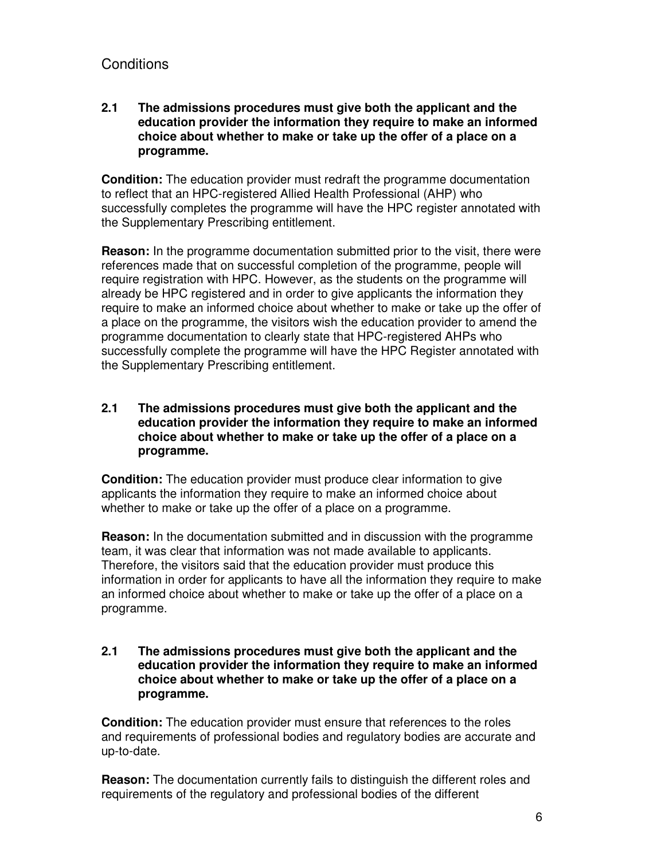## **Conditions**

#### **2.1 The admissions procedures must give both the applicant and the education provider the information they require to make an informed choice about whether to make or take up the offer of a place on a programme.**

**Condition:** The education provider must redraft the programme documentation to reflect that an HPC-registered Allied Health Professional (AHP) who successfully completes the programme will have the HPC register annotated with the Supplementary Prescribing entitlement.

**Reason:** In the programme documentation submitted prior to the visit, there were references made that on successful completion of the programme, people will require registration with HPC. However, as the students on the programme will already be HPC registered and in order to give applicants the information they require to make an informed choice about whether to make or take up the offer of a place on the programme, the visitors wish the education provider to amend the programme documentation to clearly state that HPC-registered AHPs who successfully complete the programme will have the HPC Register annotated with the Supplementary Prescribing entitlement.

#### **2.1 The admissions procedures must give both the applicant and the education provider the information they require to make an informed choice about whether to make or take up the offer of a place on a programme.**

**Condition:** The education provider must produce clear information to give applicants the information they require to make an informed choice about whether to make or take up the offer of a place on a programme.

**Reason:** In the documentation submitted and in discussion with the programme team, it was clear that information was not made available to applicants. Therefore, the visitors said that the education provider must produce this information in order for applicants to have all the information they require to make an informed choice about whether to make or take up the offer of a place on a programme.

#### **2.1 The admissions procedures must give both the applicant and the education provider the information they require to make an informed choice about whether to make or take up the offer of a place on a programme.**

**Condition:** The education provider must ensure that references to the roles and requirements of professional bodies and regulatory bodies are accurate and up-to-date.

**Reason:** The documentation currently fails to distinguish the different roles and requirements of the regulatory and professional bodies of the different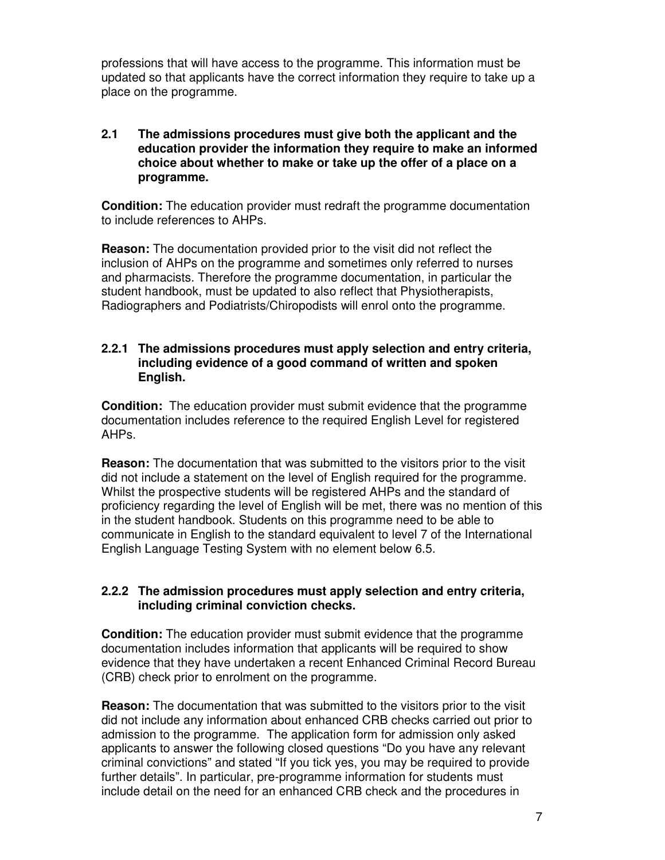professions that will have access to the programme. This information must be updated so that applicants have the correct information they require to take up a place on the programme.

#### **2.1 The admissions procedures must give both the applicant and the education provider the information they require to make an informed choice about whether to make or take up the offer of a place on a programme.**

**Condition:** The education provider must redraft the programme documentation to include references to AHPs.

**Reason:** The documentation provided prior to the visit did not reflect the inclusion of AHPs on the programme and sometimes only referred to nurses and pharmacists. Therefore the programme documentation, in particular the student handbook, must be updated to also reflect that Physiotherapists, Radiographers and Podiatrists/Chiropodists will enrol onto the programme.

#### **2.2.1 The admissions procedures must apply selection and entry criteria, including evidence of a good command of written and spoken English.**

**Condition:** The education provider must submit evidence that the programme documentation includes reference to the required English Level for registered AHPs.

**Reason:** The documentation that was submitted to the visitors prior to the visit did not include a statement on the level of English required for the programme. Whilst the prospective students will be registered AHPs and the standard of proficiency regarding the level of English will be met, there was no mention of this in the student handbook. Students on this programme need to be able to communicate in English to the standard equivalent to level 7 of the International English Language Testing System with no element below 6.5.

#### **2.2.2 The admission procedures must apply selection and entry criteria, including criminal conviction checks.**

**Condition:** The education provider must submit evidence that the programme documentation includes information that applicants will be required to show evidence that they have undertaken a recent Enhanced Criminal Record Bureau (CRB) check prior to enrolment on the programme.

**Reason:** The documentation that was submitted to the visitors prior to the visit did not include any information about enhanced CRB checks carried out prior to admission to the programme. The application form for admission only asked applicants to answer the following closed questions "Do you have any relevant criminal convictions" and stated "If you tick yes, you may be required to provide further details". In particular, pre-programme information for students must include detail on the need for an enhanced CRB check and the procedures in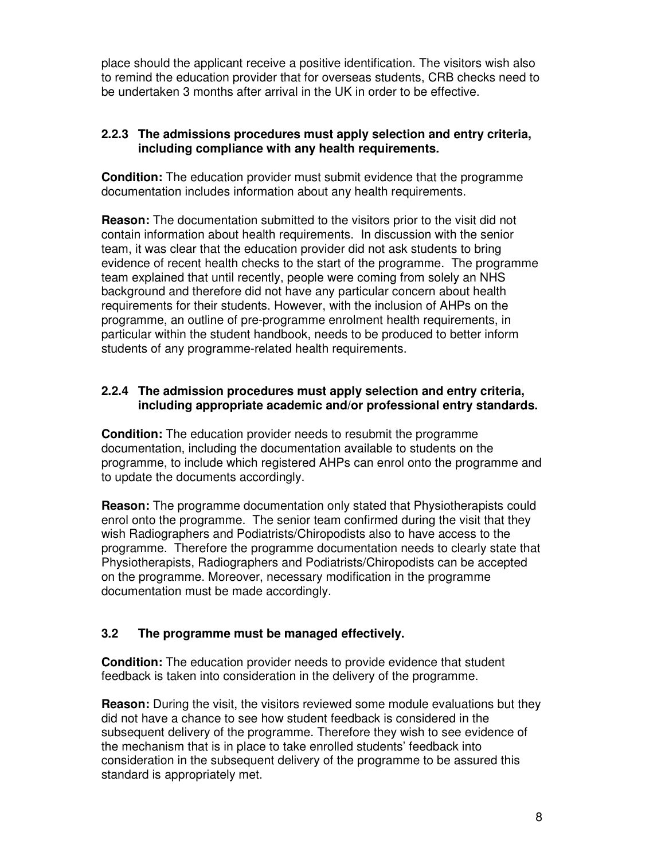place should the applicant receive a positive identification. The visitors wish also to remind the education provider that for overseas students, CRB checks need to be undertaken 3 months after arrival in the UK in order to be effective.

#### **2.2.3 The admissions procedures must apply selection and entry criteria, including compliance with any health requirements.**

**Condition:** The education provider must submit evidence that the programme documentation includes information about any health requirements.

**Reason:** The documentation submitted to the visitors prior to the visit did not contain information about health requirements. In discussion with the senior team, it was clear that the education provider did not ask students to bring evidence of recent health checks to the start of the programme. The programme team explained that until recently, people were coming from solely an NHS background and therefore did not have any particular concern about health requirements for their students. However, with the inclusion of AHPs on the programme, an outline of pre-programme enrolment health requirements, in particular within the student handbook, needs to be produced to better inform students of any programme-related health requirements.

#### **2.2.4 The admission procedures must apply selection and entry criteria, including appropriate academic and/or professional entry standards.**

**Condition:** The education provider needs to resubmit the programme documentation, including the documentation available to students on the programme, to include which registered AHPs can enrol onto the programme and to update the documents accordingly.

**Reason:** The programme documentation only stated that Physiotherapists could enrol onto the programme. The senior team confirmed during the visit that they wish Radiographers and Podiatrists/Chiropodists also to have access to the programme. Therefore the programme documentation needs to clearly state that Physiotherapists, Radiographers and Podiatrists/Chiropodists can be accepted on the programme. Moreover, necessary modification in the programme documentation must be made accordingly.

## **3.2 The programme must be managed effectively.**

**Condition:** The education provider needs to provide evidence that student feedback is taken into consideration in the delivery of the programme.

**Reason:** During the visit, the visitors reviewed some module evaluations but they did not have a chance to see how student feedback is considered in the subsequent delivery of the programme. Therefore they wish to see evidence of the mechanism that is in place to take enrolled students' feedback into consideration in the subsequent delivery of the programme to be assured this standard is appropriately met.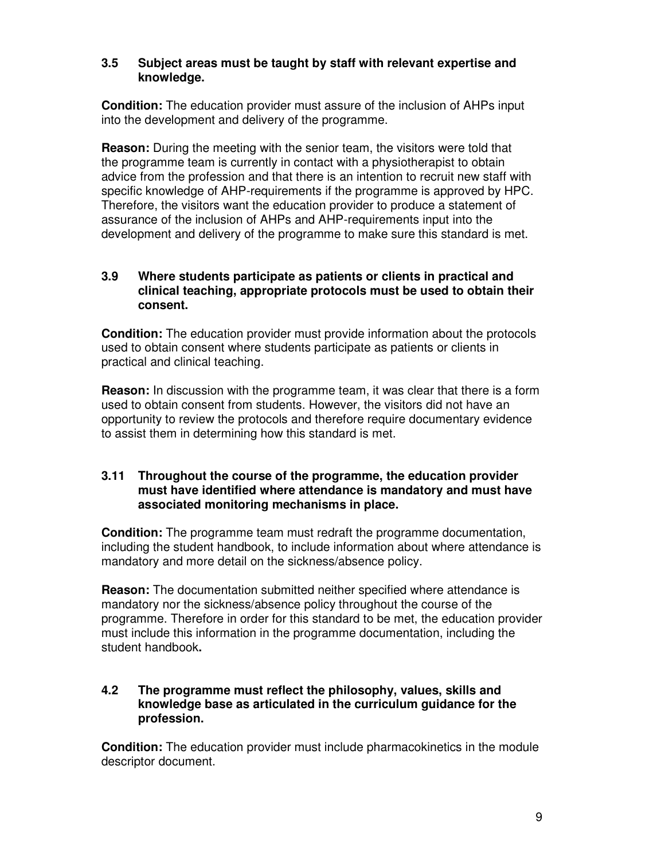#### **3.5 Subject areas must be taught by staff with relevant expertise and knowledge.**

**Condition:** The education provider must assure of the inclusion of AHPs input into the development and delivery of the programme.

**Reason:** During the meeting with the senior team, the visitors were told that the programme team is currently in contact with a physiotherapist to obtain advice from the profession and that there is an intention to recruit new staff with specific knowledge of AHP-requirements if the programme is approved by HPC. Therefore, the visitors want the education provider to produce a statement of assurance of the inclusion of AHPs and AHP-requirements input into the development and delivery of the programme to make sure this standard is met.

#### **3.9 Where students participate as patients or clients in practical and clinical teaching, appropriate protocols must be used to obtain their consent.**

**Condition:** The education provider must provide information about the protocols used to obtain consent where students participate as patients or clients in practical and clinical teaching.

**Reason:** In discussion with the programme team, it was clear that there is a form used to obtain consent from students. However, the visitors did not have an opportunity to review the protocols and therefore require documentary evidence to assist them in determining how this standard is met.

#### **3.11 Throughout the course of the programme, the education provider must have identified where attendance is mandatory and must have associated monitoring mechanisms in place.**

**Condition:** The programme team must redraft the programme documentation, including the student handbook, to include information about where attendance is mandatory and more detail on the sickness/absence policy.

**Reason:** The documentation submitted neither specified where attendance is mandatory nor the sickness/absence policy throughout the course of the programme. Therefore in order for this standard to be met, the education provider must include this information in the programme documentation, including the student handbook**.** 

#### **4.2 The programme must reflect the philosophy, values, skills and knowledge base as articulated in the curriculum guidance for the profession.**

**Condition:** The education provider must include pharmacokinetics in the module descriptor document.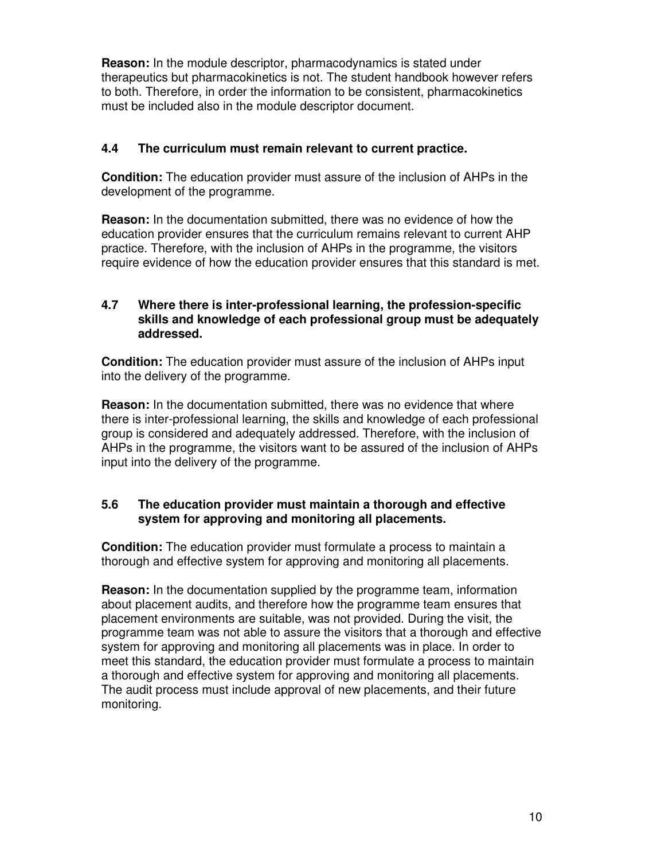**Reason:** In the module descriptor, pharmacodynamics is stated under therapeutics but pharmacokinetics is not. The student handbook however refers to both. Therefore, in order the information to be consistent, pharmacokinetics must be included also in the module descriptor document.

## **4.4 The curriculum must remain relevant to current practice.**

**Condition:** The education provider must assure of the inclusion of AHPs in the development of the programme.

**Reason:** In the documentation submitted, there was no evidence of how the education provider ensures that the curriculum remains relevant to current AHP practice. Therefore, with the inclusion of AHPs in the programme, the visitors require evidence of how the education provider ensures that this standard is met.

#### **4.7 Where there is inter-professional learning, the profession-specific skills and knowledge of each professional group must be adequately addressed.**

**Condition:** The education provider must assure of the inclusion of AHPs input into the delivery of the programme.

**Reason:** In the documentation submitted, there was no evidence that where there is inter-professional learning, the skills and knowledge of each professional group is considered and adequately addressed. Therefore, with the inclusion of AHPs in the programme, the visitors want to be assured of the inclusion of AHPs input into the delivery of the programme.

## **5.6 The education provider must maintain a thorough and effective system for approving and monitoring all placements.**

**Condition:** The education provider must formulate a process to maintain a thorough and effective system for approving and monitoring all placements.

**Reason:** In the documentation supplied by the programme team, information about placement audits, and therefore how the programme team ensures that placement environments are suitable, was not provided. During the visit, the programme team was not able to assure the visitors that a thorough and effective system for approving and monitoring all placements was in place. In order to meet this standard, the education provider must formulate a process to maintain a thorough and effective system for approving and monitoring all placements. The audit process must include approval of new placements, and their future monitoring.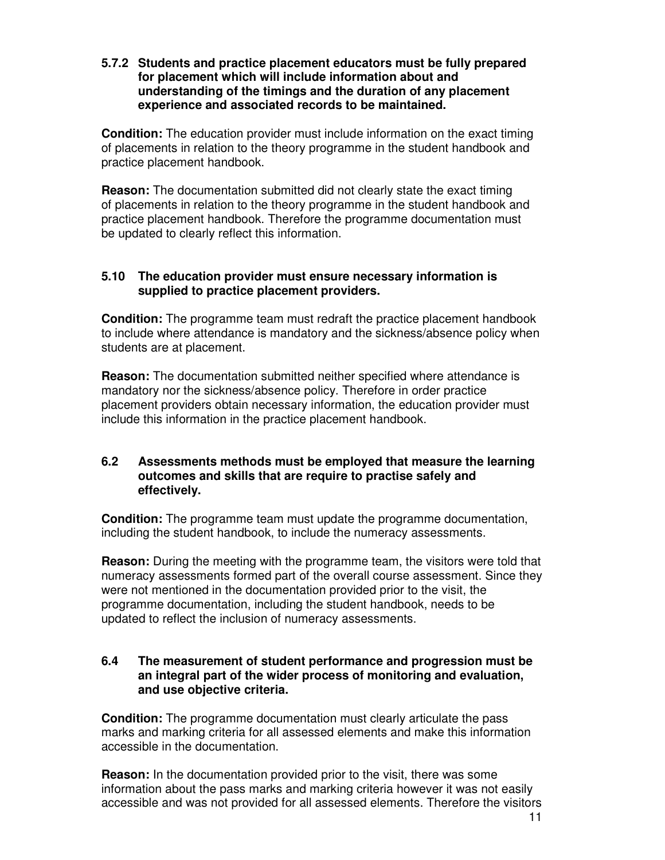#### **5.7.2 Students and practice placement educators must be fully prepared for placement which will include information about and understanding of the timings and the duration of any placement experience and associated records to be maintained.**

**Condition:** The education provider must include information on the exact timing of placements in relation to the theory programme in the student handbook and practice placement handbook.

**Reason:** The documentation submitted did not clearly state the exact timing of placements in relation to the theory programme in the student handbook and practice placement handbook. Therefore the programme documentation must be updated to clearly reflect this information.

#### **5.10 The education provider must ensure necessary information is supplied to practice placement providers.**

**Condition:** The programme team must redraft the practice placement handbook to include where attendance is mandatory and the sickness/absence policy when students are at placement.

**Reason:** The documentation submitted neither specified where attendance is mandatory nor the sickness/absence policy. Therefore in order practice placement providers obtain necessary information, the education provider must include this information in the practice placement handbook.

#### **6.2 Assessments methods must be employed that measure the learning outcomes and skills that are require to practise safely and effectively.**

**Condition:** The programme team must update the programme documentation, including the student handbook, to include the numeracy assessments.

**Reason:** During the meeting with the programme team, the visitors were told that numeracy assessments formed part of the overall course assessment. Since they were not mentioned in the documentation provided prior to the visit, the programme documentation, including the student handbook, needs to be updated to reflect the inclusion of numeracy assessments.

#### **6.4 The measurement of student performance and progression must be an integral part of the wider process of monitoring and evaluation, and use objective criteria.**

**Condition:** The programme documentation must clearly articulate the pass marks and marking criteria for all assessed elements and make this information accessible in the documentation.

**Reason:** In the documentation provided prior to the visit, there was some information about the pass marks and marking criteria however it was not easily accessible and was not provided for all assessed elements. Therefore the visitors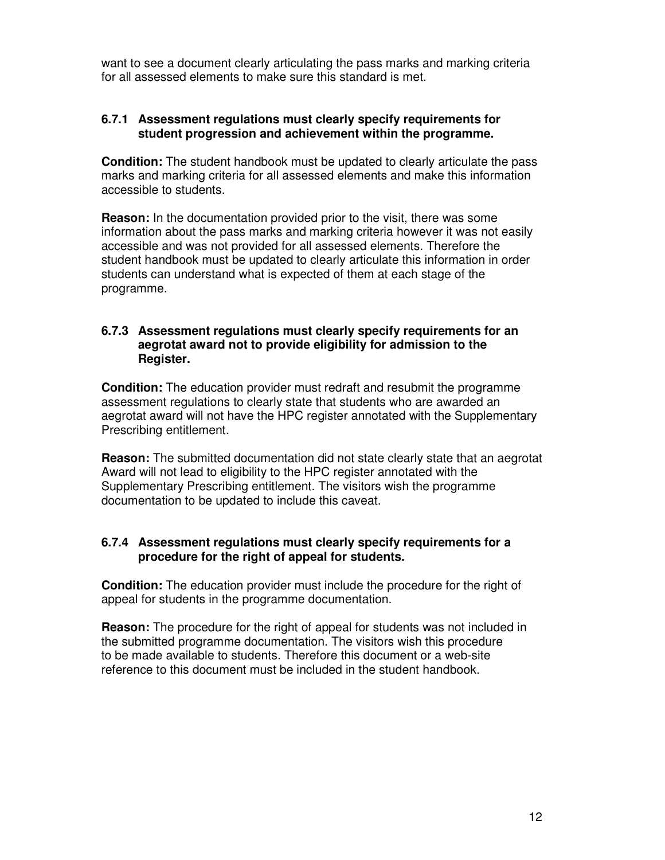want to see a document clearly articulating the pass marks and marking criteria for all assessed elements to make sure this standard is met.

#### **6.7.1 Assessment regulations must clearly specify requirements for student progression and achievement within the programme.**

**Condition:** The student handbook must be updated to clearly articulate the pass marks and marking criteria for all assessed elements and make this information accessible to students.

**Reason:** In the documentation provided prior to the visit, there was some information about the pass marks and marking criteria however it was not easily accessible and was not provided for all assessed elements. Therefore the student handbook must be updated to clearly articulate this information in order students can understand what is expected of them at each stage of the programme.

#### **6.7.3 Assessment regulations must clearly specify requirements for an aegrotat award not to provide eligibility for admission to the Register.**

**Condition:** The education provider must redraft and resubmit the programme assessment regulations to clearly state that students who are awarded an aegrotat award will not have the HPC register annotated with the Supplementary Prescribing entitlement.

**Reason:** The submitted documentation did not state clearly state that an aegrotat Award will not lead to eligibility to the HPC register annotated with the Supplementary Prescribing entitlement. The visitors wish the programme documentation to be updated to include this caveat.

#### **6.7.4 Assessment regulations must clearly specify requirements for a procedure for the right of appeal for students.**

**Condition:** The education provider must include the procedure for the right of appeal for students in the programme documentation.

**Reason:** The procedure for the right of appeal for students was not included in the submitted programme documentation. The visitors wish this procedure to be made available to students. Therefore this document or a web-site reference to this document must be included in the student handbook.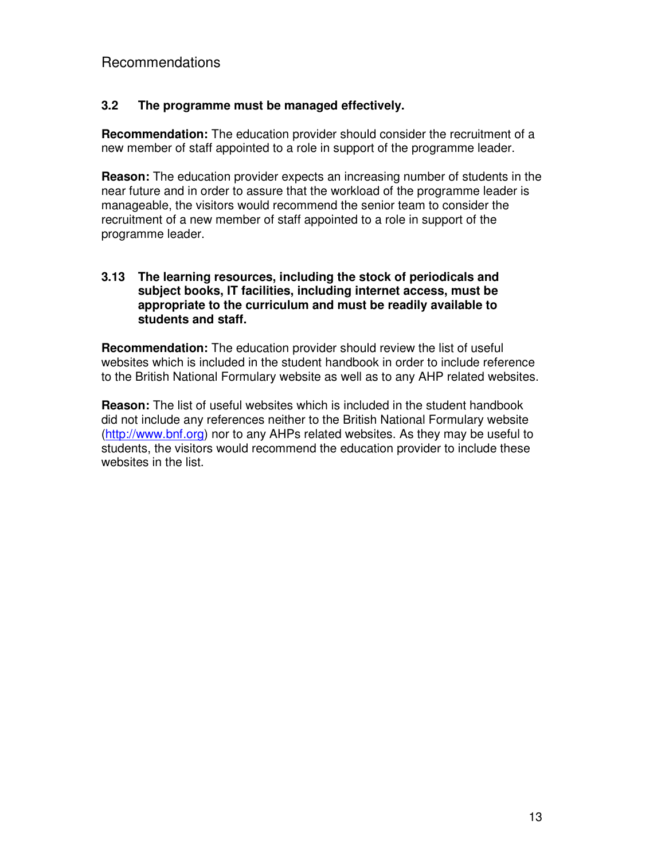## **3.2 The programme must be managed effectively.**

**Recommendation:** The education provider should consider the recruitment of a new member of staff appointed to a role in support of the programme leader.

**Reason:** The education provider expects an increasing number of students in the near future and in order to assure that the workload of the programme leader is manageable, the visitors would recommend the senior team to consider the recruitment of a new member of staff appointed to a role in support of the programme leader.

#### **3.13 The learning resources, including the stock of periodicals and subject books, IT facilities, including internet access, must be appropriate to the curriculum and must be readily available to students and staff.**

**Recommendation:** The education provider should review the list of useful websites which is included in the student handbook in order to include reference to the British National Formulary website as well as to any AHP related websites.

**Reason:** The list of useful websites which is included in the student handbook did not include any references neither to the British National Formulary website (http://www.bnf.org) nor to any AHPs related websites. As they may be useful to students, the visitors would recommend the education provider to include these websites in the list.